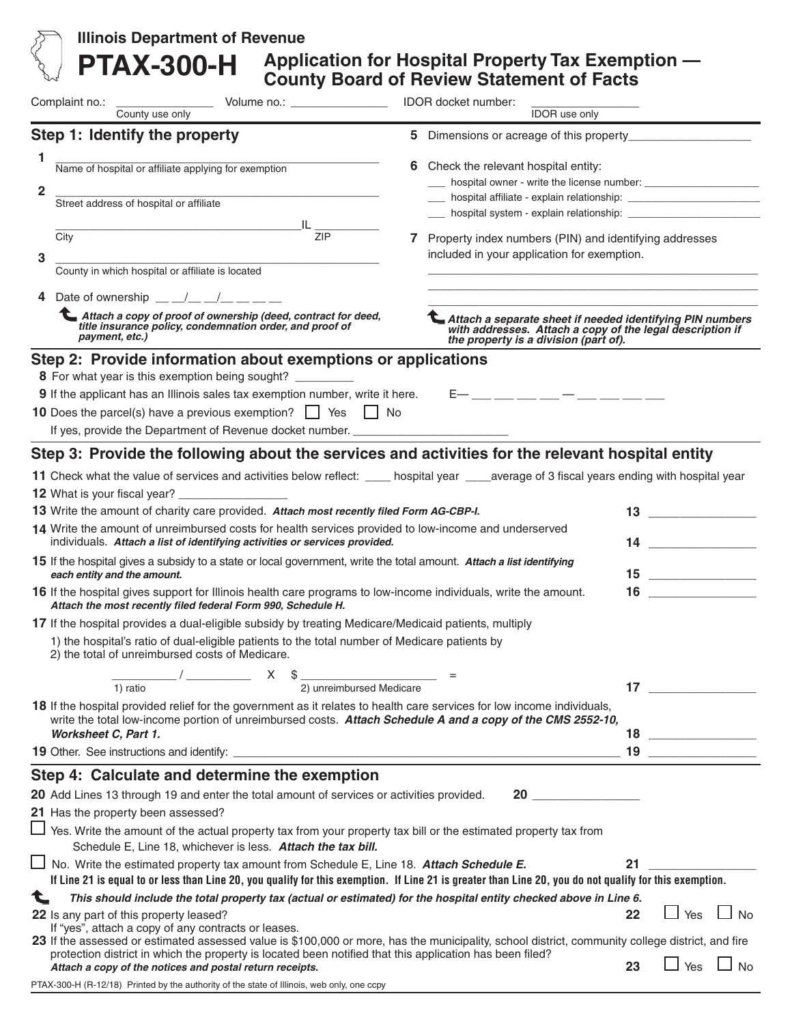| <b>Illinois Department of Revenue</b><br><b>PTAX-300-H</b>                                                                                                                                                                            | Application for Hospital Property Tax Exemption -<br><b>County Board of Review Statement of Facts</b>                                                                      |
|---------------------------------------------------------------------------------------------------------------------------------------------------------------------------------------------------------------------------------------|----------------------------------------------------------------------------------------------------------------------------------------------------------------------------|
| Complaint no.: County use only Volume no.: _________________________ IDOR docket number:                                                                                                                                              | <b>IDOR</b> use only                                                                                                                                                       |
| Step 1: Identify the property                                                                                                                                                                                                         |                                                                                                                                                                            |
| 1<br>Name of hospital or affiliate applying for exemption<br>$\overline{\mathbf{2}}$<br>Street address of hospital or affiliate                                                                                                       | 6 Check the relevant hospital entity:                                                                                                                                      |
|                                                                                                                                                                                                                                       |                                                                                                                                                                            |
| $\frac{1}{\text{L}}$<br>City<br>3                                                                                                                                                                                                     | 7 Property index numbers (PIN) and identifying addresses<br>included in your application for exemption.                                                                    |
| County in which hospital or affiliate is located                                                                                                                                                                                      |                                                                                                                                                                            |
| Date of ownership $\underline{\qquad}$ $\underline{\qquad}$ $\underline{\qquad}$ $\underline{\qquad}$ $\underline{\qquad}$ $\underline{\qquad}$ $\underline{\qquad}$                                                                  | <u> 1989 - Johann Stein, marwolaethau a bhann an t-Amhain ann an t-Amhain an t-Amhain an t-Amhain an t-Amhain an </u>                                                      |
| Attach a copy of proof of ownership (deed, contract for deed,<br>title insurance policy, condemnation order, and proof of<br>payment, etc.)                                                                                           | Attach a separate sheet if needed identifying PIN numbers<br>with addresses. Attach a copy of the legal description if<br>the property is a division (part of).            |
| Step 2: Provide information about exemptions or applications                                                                                                                                                                          |                                                                                                                                                                            |
| 8 For what year is this exemption being sought?                                                                                                                                                                                       |                                                                                                                                                                            |
| 9 If the applicant has an Illinois sales tax exemption number, write it here.                                                                                                                                                         | $E-$ __ __ __ __ __ __ __ __ __ __                                                                                                                                         |
| <b>10</b> Does the parcel(s) have a previous exemption? $\Box$ Yes $\Box$ No                                                                                                                                                          |                                                                                                                                                                            |
| If yes, provide the Department of Revenue docket number. _______________________                                                                                                                                                      |                                                                                                                                                                            |
| Step 3: Provide the following about the services and activities for the relevant hospital entity                                                                                                                                      |                                                                                                                                                                            |
|                                                                                                                                                                                                                                       | 11 Check what the value of services and activities below reflect: ____ hospital year ____average of 3 fiscal years ending with hospital year                               |
|                                                                                                                                                                                                                                       |                                                                                                                                                                            |
| 13 Write the amount of charity care provided. Attach most recently filed Form AG-CBP-I.                                                                                                                                               |                                                                                                                                                                            |
| 14 Write the amount of unreimbursed costs for health services provided to low-income and underserved<br>individuals. Attach a list of identifying activities or services provided.                                                    |                                                                                                                                                                            |
| 15 If the hospital gives a subsidy to a state or local government, write the total amount. Attach a list identifying<br>each entity and the amount.                                                                                   | 15                                                                                                                                                                         |
| <b>16</b> If the hospital gives support for Illinois health care programs to low-income individuals, write the amount.<br>Attach the most recently filed federal Form 990, Schedule H.                                                | $\begin{array}{c c} \hline \end{array}$ 16                                                                                                                                 |
| 17 If the hospital provides a dual-eligible subsidy by treating Medicare/Medicaid patients, multiply                                                                                                                                  |                                                                                                                                                                            |
| 1) the hospital's ratio of dual-eligible patients to the total number of Medicare patients by<br>2) the total of unreimbursed costs of Medicare.                                                                                      |                                                                                                                                                                            |
| $\frac{1}{1}$ ratio $\frac{1}{2}$ $\frac{1}{2}$ $\frac{1}{2}$ unreimbursed Medicare $\frac{1}{2}$                                                                                                                                     | 17                                                                                                                                                                         |
| 18 If the hospital provided relief for the government as it relates to health care services for low income individuals,<br>write the total low-income portion of unreimbursed costs. Attach Schedule A and a copy of the CMS 2552-10, |                                                                                                                                                                            |
| Worksheet C, Part 1.                                                                                                                                                                                                                  | $\begin{array}{c c} \hline \end{array}$ 18                                                                                                                                 |
|                                                                                                                                                                                                                                       |                                                                                                                                                                            |
| Step 4: Calculate and determine the exemption                                                                                                                                                                                         |                                                                                                                                                                            |
| 20 Add Lines 13 through 19 and enter the total amount of services or activities provided.                                                                                                                                             | 20                                                                                                                                                                         |
| 21 Has the property been assessed?                                                                                                                                                                                                    |                                                                                                                                                                            |
| Yes. Write the amount of the actual property tax from your property tax bill or the estimated property tax from<br>Schedule E, Line 18, whichever is less. Attach the tax bill.                                                       |                                                                                                                                                                            |
| $\Box$ No. Write the estimated property tax amount from Schedule E, Line 18. Attach Schedule E.                                                                                                                                       | 21<br>If Line 21 is equal to or less than Line 20, you qualify for this exemption. If Line 21 is greater than Line 20, you do not qualify for this exemption.              |
| This should include the total property tax (actual or estimated) for the hospital entity checked above in Line 6.                                                                                                                     |                                                                                                                                                                            |
| 22 Is any part of this property leased?<br>If "yes", attach a copy of any contracts or leases.                                                                                                                                        | Yes<br>$\Box$ No<br>22<br>23 If the assessed or estimated assessed value is \$100,000 or more, has the municipality, school district, community college district, and fire |
| protection district in which the property is located been notified that this application has been filed?<br>Attach a copy of the notices and postal return receipts.                                                                  | $\Box$ Yes $\Box$ No<br>23                                                                                                                                                 |

PTAX-300-H (R-12/18) Printed by the authority of the state of Illinois, web only, one ccpy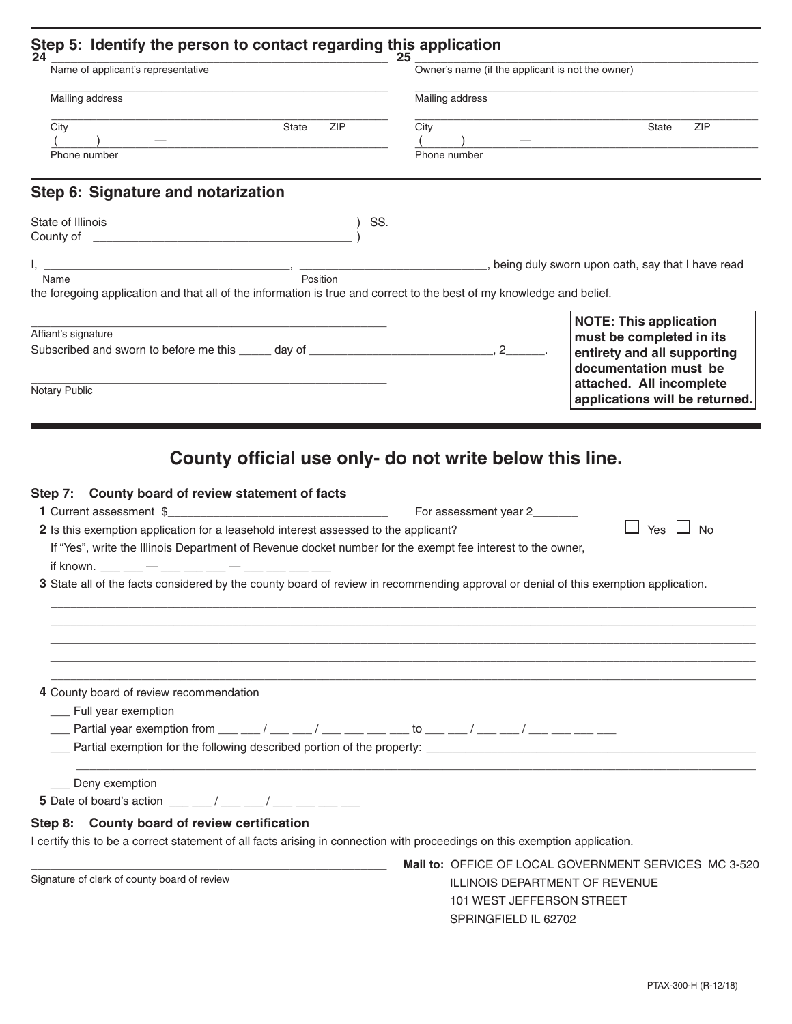| Name of applicant's representative 25<br>Mailing address                                                                                                                                                                                                                                                                             | Owner's name (if the applicant is not the owner)<br>Mailing address                                                                                                                                                            |  |
|--------------------------------------------------------------------------------------------------------------------------------------------------------------------------------------------------------------------------------------------------------------------------------------------------------------------------------------|--------------------------------------------------------------------------------------------------------------------------------------------------------------------------------------------------------------------------------|--|
|                                                                                                                                                                                                                                                                                                                                      |                                                                                                                                                                                                                                |  |
| Phone number                                                                                                                                                                                                                                                                                                                         | Phone number                                                                                                                                                                                                                   |  |
| Step 6: Signature and notarization                                                                                                                                                                                                                                                                                                   |                                                                                                                                                                                                                                |  |
| State of Illinois                                                                                                                                                                                                                                                                                                                    | ) SS.                                                                                                                                                                                                                          |  |
|                                                                                                                                                                                                                                                                                                                                      | I, Mame Manuscription (Position Manuscription Manuscription Manuscription Manuscription Manuscription Manuscription Manuscription Manuscription (Position Manuscription Manuscription Manuscription Manuscription Manuscriptio |  |
| the foregoing application and that all of the information is true and correct to the best of my knowledge and belief.                                                                                                                                                                                                                |                                                                                                                                                                                                                                |  |
| Affiant's signature                                                                                                                                                                                                                                                                                                                  | <b>NOTE: This application</b><br>must be completed in its                                                                                                                                                                      |  |
|                                                                                                                                                                                                                                                                                                                                      | entirety and all supporting<br>documentation must be                                                                                                                                                                           |  |
| Notary Public                                                                                                                                                                                                                                                                                                                        | attached. All incomplete<br>applications will be returned.                                                                                                                                                                     |  |
| 2 Is this exemption application for a leasehold interest assessed to the applicant?<br>If "Yes", write the Illinois Department of Revenue docket number for the exempt fee interest to the owner,                                                                                                                                    | $\Box$ Yes $\Box$ No<br>3 State all of the facts considered by the county board of review in recommending approval or denial of this exemption application.                                                                    |  |
|                                                                                                                                                                                                                                                                                                                                      |                                                                                                                                                                                                                                |  |
| 4 County board of review recommendation<br>__ Full year exemption<br>____ Partial year exemption from ___ ___ / ___ ___ / ___ ___ ____ to ___ ___ / ___ ___ / ___ ___ ___ ___                                                                                                                                                        |                                                                                                                                                                                                                                |  |
| ___ Deny exemption<br>5 Date of board's action $\frac{1}{2}$ $\frac{1}{2}$ $\frac{1}{2}$ $\frac{1}{2}$ $\frac{1}{2}$ $\frac{1}{2}$ $\frac{1}{2}$ $\frac{1}{2}$ $\frac{1}{2}$ $\frac{1}{2}$ $\frac{1}{2}$ $\frac{1}{2}$ $\frac{1}{2}$ $\frac{1}{2}$ $\frac{1}{2}$ $\frac{1}{2}$ $\frac{1}{2}$ $\frac{1}{2}$ $\frac{1}{2}$ $\frac{1}{$ |                                                                                                                                                                                                                                |  |
| Step 8: County board of review certification                                                                                                                                                                                                                                                                                         |                                                                                                                                                                                                                                |  |
| I certify this to be a correct statement of all facts arising in connection with proceedings on this exemption application.                                                                                                                                                                                                          |                                                                                                                                                                                                                                |  |
| Signature of clerk of county board of review                                                                                                                                                                                                                                                                                         | Mail to: OFFICE OF LOCAL GOVERNMENT SERVICES MC 3-520<br>ILLINOIS DEPARTMENT OF REVENUE<br>101 WEST JEFFERSON STREET<br>SPRINGFIELD IL 62702                                                                                   |  |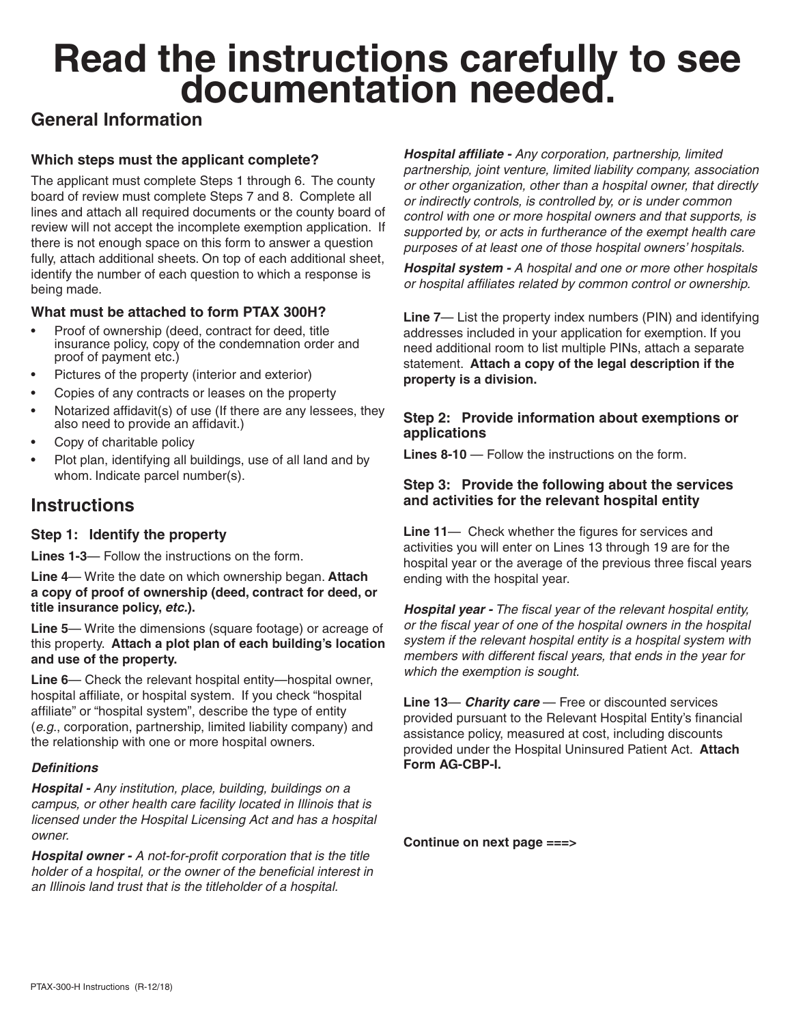# **Read the instructions carefully to see documentation needed.**

# **General Information**

## **Which steps must the applicant complete?**

The applicant must complete Steps 1 through 6. The county board of review must complete Steps 7 and 8. Complete all lines and attach all required documents or the county board of review will not accept the incomplete exemption application. If there is not enough space on this form to answer a question fully, attach additional sheets. On top of each additional sheet, identify the number of each question to which a response is being made.

### **What must be attached to form PTAX 300H?**

- Proof of ownership (deed, contract for deed, title insurance policy, copy of the condemnation order and proof of payment etc.)
- Pictures of the property (interior and exterior)
- Copies of any contracts or leases on the property
- Notarized affidavit(s) of use (If there are any lessees, they also need to provide an affidavit.)
- Copy of charitable policy
- Plot plan, identifying all buildings, use of all land and by whom. Indicate parcel number(s).

# **Instructions**

#### **Step 1: Identify the property**

**Lines 1-3**— Follow the instructions on the form.

**Line 4**— Write the date on which ownership began. **Attach a copy of proof of ownership (deed, contract for deed, or title insurance policy,** *etc.***).**

**Line 5**— Write the dimensions (square footage) or acreage of this property. **Attach a plot plan of each building's location and use of the property.**

**Line 6**— Check the relevant hospital entity—hospital owner, hospital affiliate, or hospital system. If you check "hospital affiliate" or "hospital system", describe the type of entity (*e.g.*, corporation, partnership, limited liability company) and the relationship with one or more hospital owners.

#### *Definitions*

*Hospital - Any institution, place, building, buildings on a campus, or other health care facility located in Illinois that is licensed under the Hospital Licensing Act and has a hospital owner.*

*Hospital owner - A not-for-profit corporation that is the title holder of a hospital, or the owner of the beneficial interest in an Illinois land trust that is the titleholder of a hospital.*

*Hospital affiliate - Any corporation, partnership, limited partnership, joint venture, limited liability company, association or other organization, other than a hospital owner, that directly or indirectly controls, is controlled by, or is under common control with one or more hospital owners and that supports, is supported by, or acts in furtherance of the exempt health care purposes of at least one of those hospital owners' hospitals.*

*Hospital system - A hospital and one or more other hospitals or hospital affiliates related by common control or ownership.*

**Line 7**— List the property index numbers (PIN) and identifying addresses included in your application for exemption. If you need additional room to list multiple PINs, attach a separate statement. **Attach a copy of the legal description if the property is a division.**

#### **Step 2: Provide information about exemptions or applications**

**Lines 8-10** — Follow the instructions on the form.

#### **Step 3: Provide the following about the services and activities for the relevant hospital entity**

**Line 11**— Check whether the figures for services and activities you will enter on Lines 13 through 19 are for the hospital year or the average of the previous three fiscal years ending with the hospital year.

*Hospital year - The fiscal year of the relevant hospital entity, or the fiscal year of one of the hospital owners in the hospital system if the relevant hospital entity is a hospital system with members with different fiscal years, that ends in the year for which the exemption is sought.*

**Line 13**— *Charity care* — Free or discounted services provided pursuant to the Relevant Hospital Entity's financial assistance policy, measured at cost, including discounts provided under the Hospital Uninsured Patient Act. **Attach Form AG-CBP-I.**

**Continue on next page ===>**